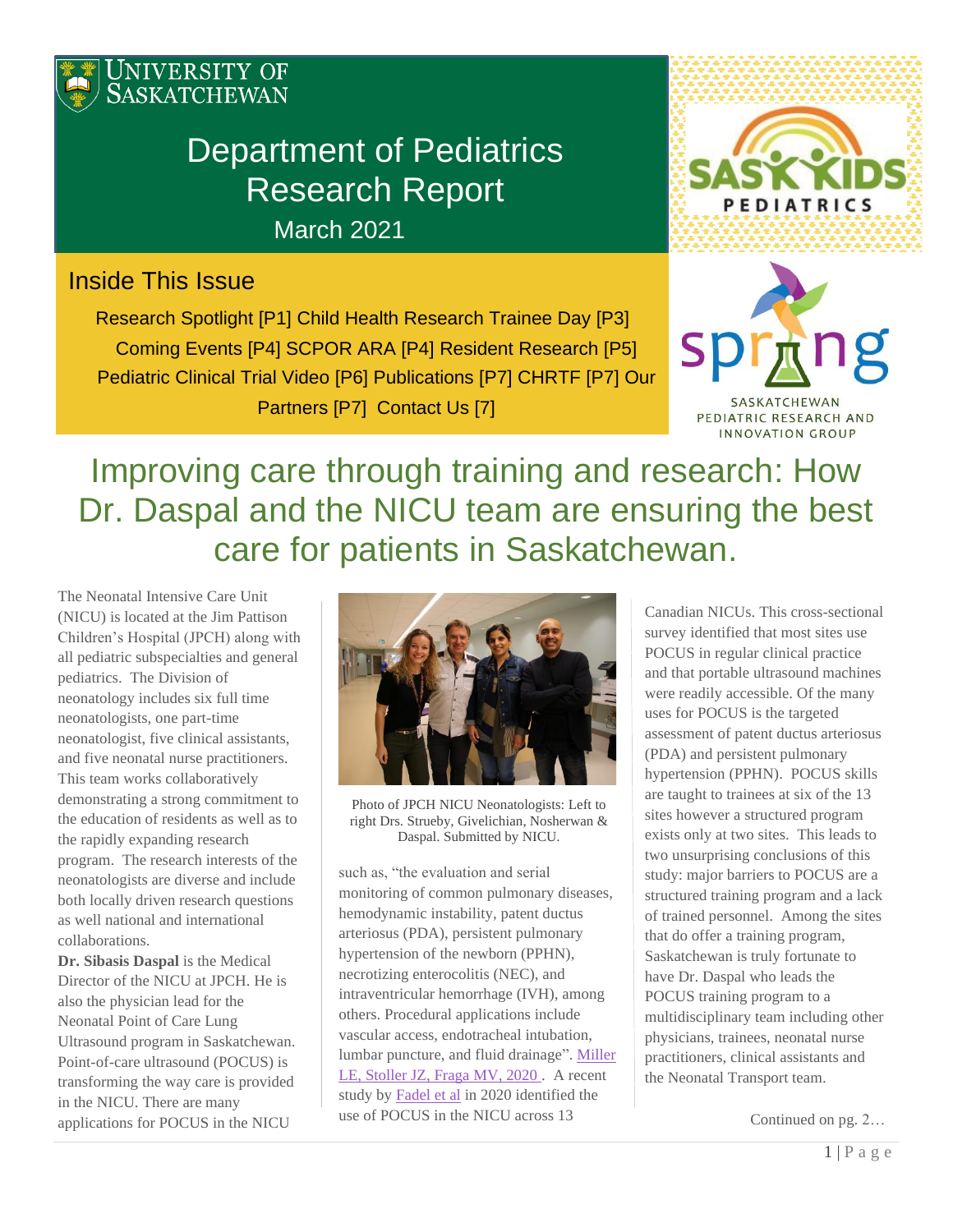

# Department of Pediatrics Research Report

March 2021

# Inside This Issue

Research Spotlight [P1] Child Health Research Trainee Day [P3] Coming Events [P4] SCPOR ARA [P4] Resident Research [P5] Pediatric Clinical Trial Video [P6] Publications [P7] CHRTF [P7] Our Partners [P7] Contact Us [7]



**THUR SC** 

SASKATCHEWAN PEDIATRIC RESEARCH AND INNOVATION GROUP

# Improving care through training and research: How Dr. Daspal and the NICU team are ensuring the best care for patients in Saskatchewan.

The Neonatal Intensive Care Unit (NICU) is located at the Jim Pattison Children's Hospital (JPCH) along with all pediatric subspecialties and general pediatrics. The Division of neonatology includes six full time neonatologists, one part-time neonatologist, five clinical assistants, and five neonatal nurse practitioners. This team works collaboratively demonstrating a strong commitment to the education of residents as well as to the rapidly expanding research program. The research interests of the neonatologists are diverse and include both locally driven research questions as well national and international collaborations.

**Dr. Sibasis Daspal** is the Medical Director of the NICU at JPCH. He is also the physician lead for the Neonatal Point of Care Lung Ultrasound program in Saskatchewan. Point-of-care ultrasound (POCUS) is transforming the way care is provided in the NICU. There are many applications for POCUS in the NICU



Photo of JPCH NICU Neonatologists: Left to right Drs. Strueby, Givelichian, Nosherwan & Daspal. Submitted by NICU.

such as, "the evaluation and serial monitoring of common pulmonary diseases, hemodynamic instability, patent ductus arteriosus (PDA), persistent pulmonary hypertension of the newborn (PPHN), necrotizing enterocolitis (NEC), and intraventricular hemorrhage (IVH), among others. Procedural applications include vascular access, endotracheal intubation, lumbar puncture, and fluid drainage"[. Miller](https://pubmed.ncbi.nlm.nih.gov/31851056/)  [LE, Stoller JZ, Fraga MV, 2020 .](https://pubmed.ncbi.nlm.nih.gov/31851056/) A recent study by [Fadel et al](https://pubmed.ncbi.nlm.nih.gov/31073871/) in 2020 identified the use of POCUS in the NICU across 13

Canadian NICUs. This cross-sectional survey identified that most sites use POCUS in regular clinical practice and that portable ultrasound machines were readily accessible. Of the many uses for POCUS is the targeted assessment of patent ductus arteriosus (PDA) and persistent pulmonary hypertension (PPHN). POCUS skills are taught to trainees at six of the 13 sites however a structured program exists only at two sites. This leads to two unsurprising conclusions of this study: major barriers to POCUS are a structured training program and a lack of trained personnel. Among the sites that do offer a training program, Saskatchewan is truly fortunate to have Dr. Daspal who leads the POCUS training program to a multidisciplinary team including other physicians, trainees, neonatal nurse practitioners, clinical assistants and the Neonatal Transport team.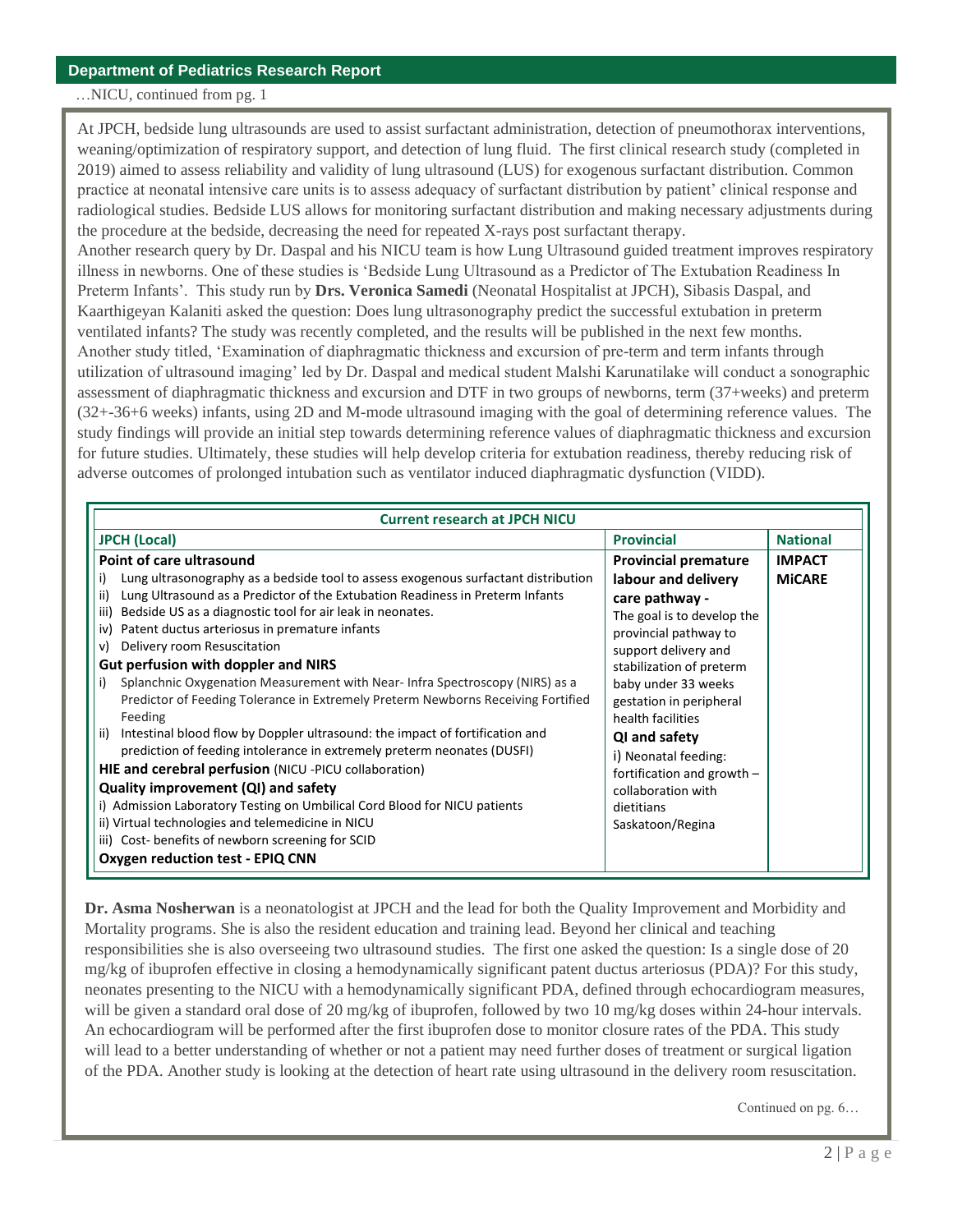…NICU, continued from pg. 1

At JPCH, bedside lung ultrasounds are used to assist surfactant administration, detection of pneumothorax interventions, weaning/optimization of respiratory support, and detection of lung fluid. The first clinical research study (completed in 2019) aimed to assess reliability and validity of lung ultrasound (LUS) for exogenous surfactant distribution. Common practice at neonatal intensive care units is to assess adequacy of surfactant distribution by patient' clinical response and radiological studies. Bedside LUS allows for monitoring surfactant distribution and making necessary adjustments during the procedure at the bedside, decreasing the need for repeated X-rays post surfactant therapy.

Another research query by Dr. Daspal and his NICU team is how Lung Ultrasound guided treatment improves respiratory illness in newborns. One of these studies is 'Bedside Lung Ultrasound as a Predictor of The Extubation Readiness In Preterm Infants'. This study run by **Drs. Veronica Samedi** (Neonatal Hospitalist at JPCH), Sibasis Daspal, and Kaarthigeyan Kalaniti asked the question: Does lung ultrasonography predict the successful extubation in preterm ventilated infants? The study was recently completed, and the results will be published in the next few months. Another study titled, 'Examination of diaphragmatic thickness and excursion of pre-term and term infants through utilization of ultrasound imaging' led by Dr. Daspal and medical student Malshi Karunatilake will conduct a sonographic assessment of diaphragmatic thickness and excursion and DTF in two groups of newborns, term (37+weeks) and preterm (32+-36+6 weeks) infants, using 2D and M-mode ultrasound imaging with the goal of determining reference values. The study findings will provide an initial step towards determining reference values of diaphragmatic thickness and excursion for future studies. Ultimately, these studies will help develop criteria for extubation readiness, thereby reducing risk of adverse outcomes of prolonged intubation such as ventilator induced diaphragmatic dysfunction (VIDD).

| <b>Current research at JPCH NICU</b>                                                                                                                                                                                                                                                                                                                                                                                                                                                                                                                                                                                                                                                                                                                                                                                                                                                                                                                                                                                                                                                               |                                                                                                                                                                                                                                                                                                                                                                                       |                                |
|----------------------------------------------------------------------------------------------------------------------------------------------------------------------------------------------------------------------------------------------------------------------------------------------------------------------------------------------------------------------------------------------------------------------------------------------------------------------------------------------------------------------------------------------------------------------------------------------------------------------------------------------------------------------------------------------------------------------------------------------------------------------------------------------------------------------------------------------------------------------------------------------------------------------------------------------------------------------------------------------------------------------------------------------------------------------------------------------------|---------------------------------------------------------------------------------------------------------------------------------------------------------------------------------------------------------------------------------------------------------------------------------------------------------------------------------------------------------------------------------------|--------------------------------|
| <b>JPCH (Local)</b>                                                                                                                                                                                                                                                                                                                                                                                                                                                                                                                                                                                                                                                                                                                                                                                                                                                                                                                                                                                                                                                                                | <b>Provincial</b>                                                                                                                                                                                                                                                                                                                                                                     | <b>National</b>                |
| Point of care ultrasound<br>Lung ultrasonography as a bedside tool to assess exogenous surfactant distribution<br>Lung Ultrasound as a Predictor of the Extubation Readiness in Preterm Infants<br>ii)<br>Bedside US as a diagnostic tool for air leak in neonates.<br>iii)<br>Patent ductus arteriosus in premature infants<br>iv)<br>Delivery room Resuscitation<br>v)<br><b>Gut perfusion with doppler and NIRS</b><br>Splanchnic Oxygenation Measurement with Near-Infra Spectroscopy (NIRS) as a<br>i)<br>Predictor of Feeding Tolerance in Extremely Preterm Newborns Receiving Fortified<br>Feeding<br>ii) Intestinal blood flow by Doppler ultrasound: the impact of fortification and<br>prediction of feeding intolerance in extremely preterm neonates (DUSFI)<br>HIE and cerebral perfusion (NICU-PICU collaboration)<br>Quality improvement (QI) and safety<br>i) Admission Laboratory Testing on Umbilical Cord Blood for NICU patients<br>ii) Virtual technologies and telemedicine in NICU<br>iii) Cost-benefits of newborn screening for SCID<br>Oxygen reduction test - EPIQ CNN | <b>Provincial premature</b><br>labour and delivery<br>care pathway -<br>The goal is to develop the<br>provincial pathway to<br>support delivery and<br>stabilization of preterm<br>baby under 33 weeks<br>gestation in peripheral<br>health facilities<br>QI and safety<br>i) Neonatal feeding:<br>fortification and growth -<br>collaboration with<br>dietitians<br>Saskatoon/Regina | <b>IMPACT</b><br><b>MICARE</b> |

**Dr. Asma Nosherwan** is a neonatologist at JPCH and the lead for both the Quality Improvement and Morbidity and Mortality programs. She is also the resident education and training lead. Beyond her clinical and teaching responsibilities she is also overseeing two ultrasound studies. The first one asked the question: Is a single dose of 20 mg/kg of ibuprofen effective in closing a hemodynamically significant patent ductus arteriosus (PDA)? For this study, neonates presenting to the NICU with a hemodynamically significant PDA, defined through echocardiogram measures, will be given a standard oral dose of 20 mg/kg of ibuprofen, followed by two 10 mg/kg doses within 24-hour intervals. An echocardiogram will be performed after the first ibuprofen dose to monitor closure rates of the PDA. This study will lead to a better understanding of whether or not a patient may need further doses of treatment or surgical ligation of the PDA. Another study is looking at the detection of heart rate using ultrasound in the delivery room resuscitation.

Continued on pg. 4 Continued on pg. 6…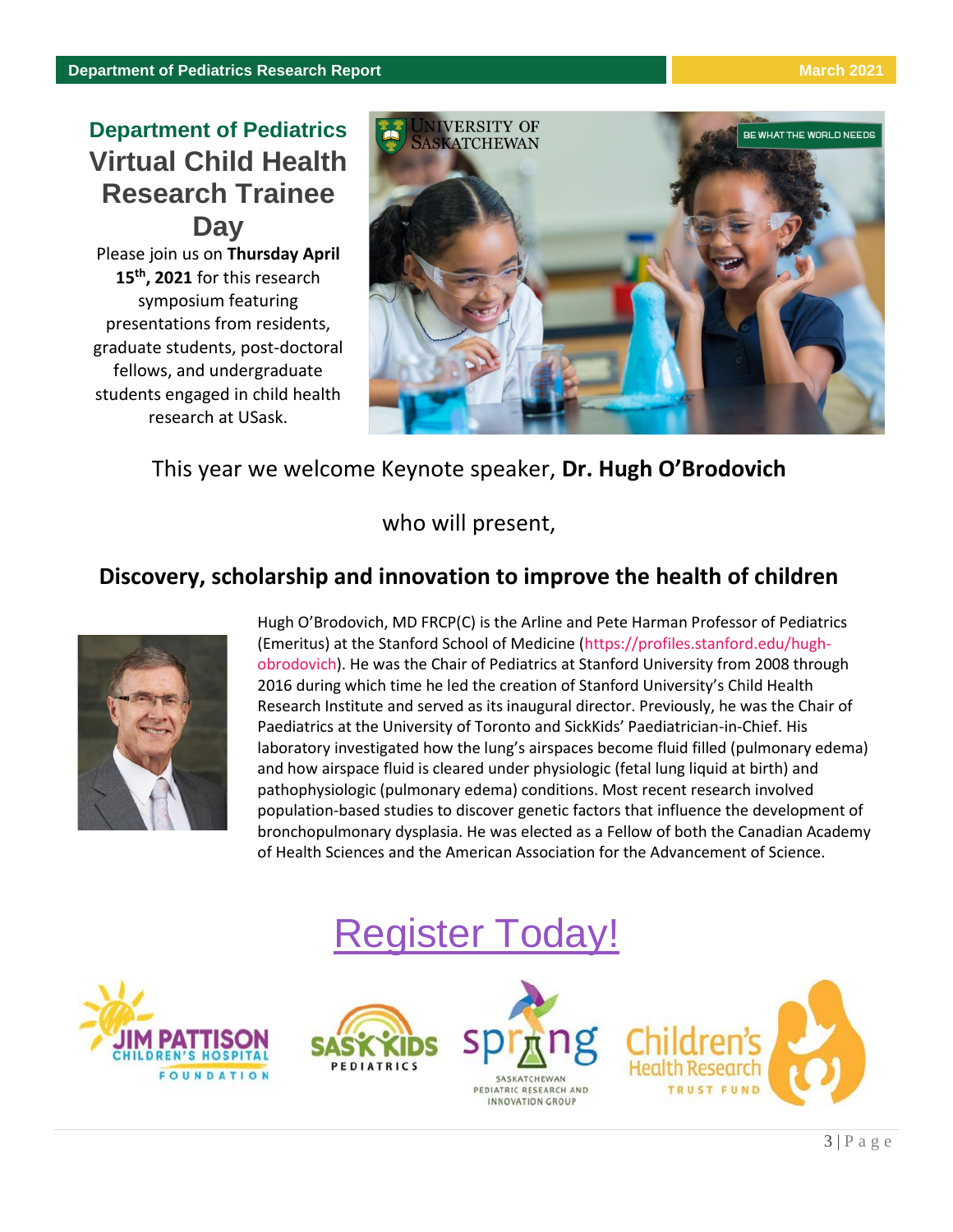# **Department of Pediatrics Virtual Child Health Research Trainee Day**

Please join us on **Thursday April 15th, 2021** for this research symposium featuring presentations from residents, graduate students, post-doctoral fellows, and undergraduate students engaged in child health research at USask.



This year we welcome Keynote speaker, **Dr. Hugh O'Brodovich**

who will present,

### **Discovery, scholarship and innovation to improve the health of children**



Hugh O'Brodovich, MD FRCP(C) is the Arline and Pete Harman Professor of Pediatrics (Emeritus) at the Stanford School of Medicine [\(https://profiles.stanford.edu/hugh](https://profiles.stanford.edu/hugh-obrodovich)[obrodovich\)](https://profiles.stanford.edu/hugh-obrodovich). He was the Chair of Pediatrics at Stanford University from 2008 through 2016 during which time he led the creation of Stanford University's Child Health Research Institute and served as its inaugural director. Previously, he was the Chair of Paediatrics at the University of Toronto and SickKids' Paediatrician-in-Chief. His laboratory investigated how the lung's airspaces become fluid filled (pulmonary edema) and how airspace fluid is cleared under physiologic (fetal lung liquid at birth) and pathophysiologic (pulmonary edema) conditions. Most recent research involved population-based studies to discover genetic factors that influence the development of bronchopulmonary dysplasia. He was elected as a Fellow of both the Canadian Academy of Health Sciences and the American Association for the Advancement of Science.

# [Register Today!](https://www.eventbrite.ca/e/2021-child-health-research-trainee-day-tickets-144696287491?aff=ebdssbonlinesearch&utm-medium=discovery&utm-campaign=social&utm-content=attendeeshare&utm-source=cp&utm-term=destsearch)







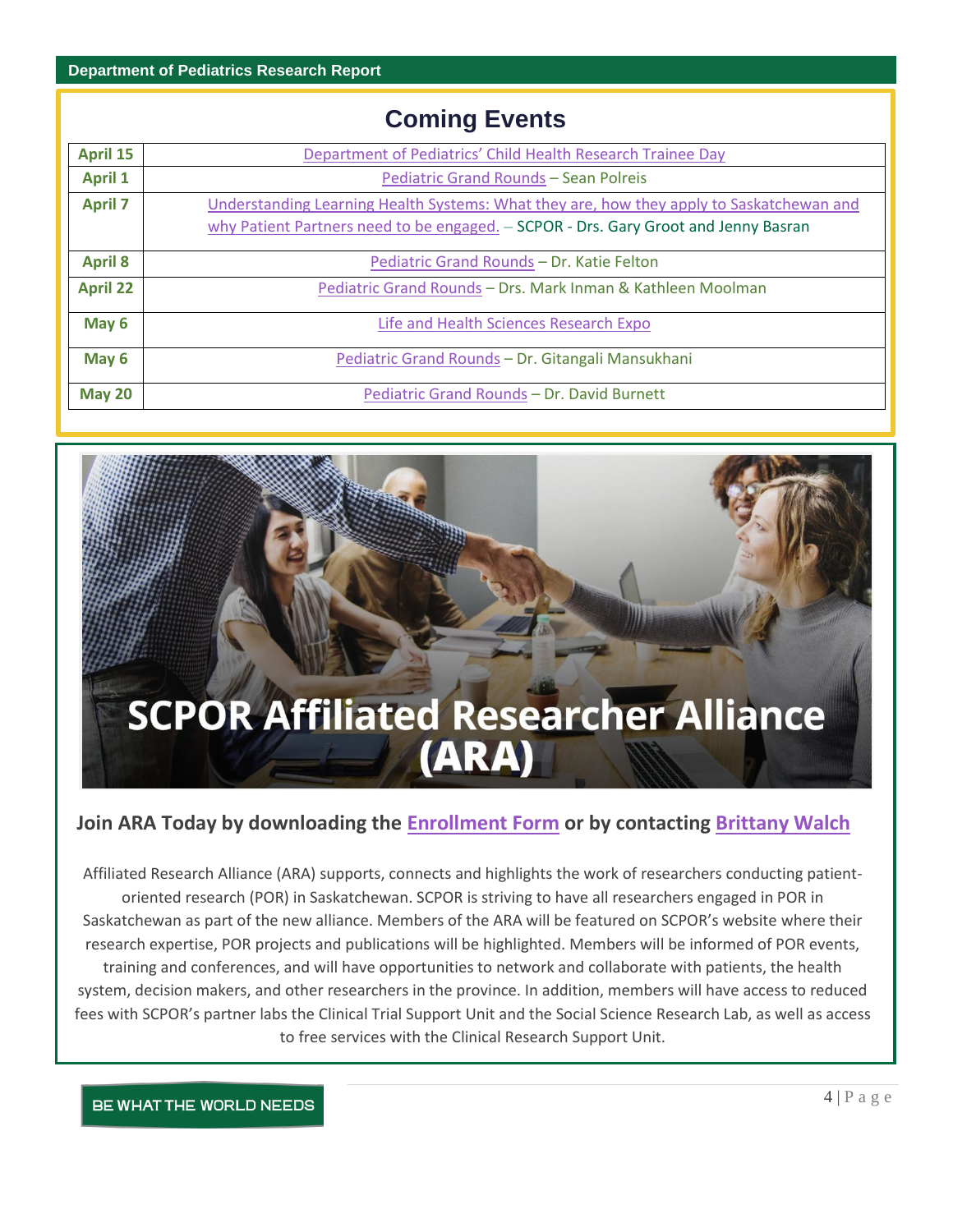# **Coming Events**

| <b>April 15</b> | Department of Pediatrics' Child Health Research Trainee Day                                                                                                                     |
|-----------------|---------------------------------------------------------------------------------------------------------------------------------------------------------------------------------|
| <b>April 1</b>  | Pediatric Grand Rounds - Sean Polreis                                                                                                                                           |
| <b>April 7</b>  | Understanding Learning Health Systems: What they are, how they apply to Saskatchewan and<br>why Patient Partners need to be engaged. - SCPOR - Drs. Gary Groot and Jenny Basran |
| <b>April 8</b>  | Pediatric Grand Rounds - Dr. Katie Felton                                                                                                                                       |
| <b>April 22</b> | Pediatric Grand Rounds - Drs. Mark Inman & Kathleen Moolman                                                                                                                     |
| May 6           | Life and Health Sciences Research Expo                                                                                                                                          |
| May 6           | Pediatric Grand Rounds – Dr. Gitangali Mansukhani                                                                                                                               |
| <b>May 20</b>   | Pediatric Grand Rounds - Dr. David Burnett                                                                                                                                      |



#### **Join ARA Today by downloading the [Enrollment Form](https://static1.squarespace.com/static/5c869fd0e666695abe893b3b/t/5e7ba0315f59be201069f4ab/1585160243987/Saskatchewan+Affiliated+Researcher+Alliance+-+2020+03+25.pdf) or by contacting [Brittany Walch](mailto:brittany.walch@usask.ca)**

Affiliated Research Alliance (ARA) supports, connects and highlights the work of researchers conducting patientoriented research (POR) in Saskatchewan. SCPOR is striving to have all researchers engaged in POR in Saskatchewan as part of the new alliance. Members of the ARA will be featured on SCPOR's website where their research expertise, POR projects and publications will be highlighted. Members will be informed of POR events, training and conferences, and will have opportunities to network and collaborate with patients, the health system, decision makers, and other researchers in the province. In addition, members will have access to reduced fees with SCPOR's partner labs the Clinical Trial Support Unit and the Social Science Research Lab, as well as access to free services with the Clinical Research Support Unit.

BE WHAT THE WORLD NEEDS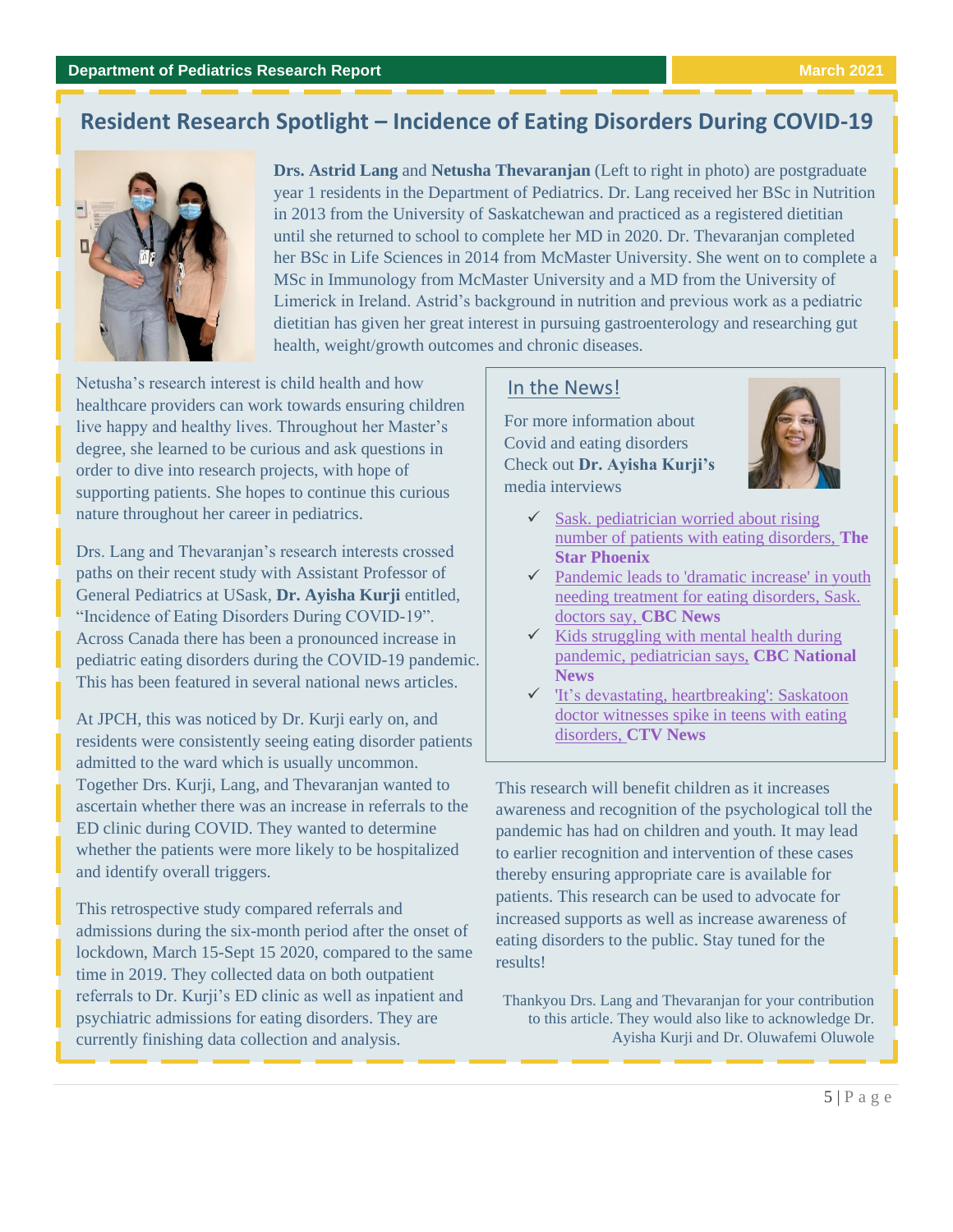### **Resident Research Spotlight – Incidence of Eating Disorders During COVID-19**



**Drs. Astrid Lang** and **Netusha Thevaranjan** (Left to right in photo) are postgraduate year 1 residents in the Department of Pediatrics. Dr. Lang received her BSc in Nutrition in 2013 from the University of Saskatchewan and practiced as a registered dietitian until she returned to school to complete her MD in 2020. Dr. Thevaranjan completed her BSc in Life Sciences in 2014 from McMaster University. She went on to complete a MSc in Immunology from McMaster University and a MD from the University of Limerick in Ireland. Astrid's background in nutrition and previous work as a pediatric dietitian has given her great interest in pursuing gastroenterology and researching gut health, weight/growth outcomes and chronic diseases.

Netusha's research interest is child health and how healthcare providers can work towards ensuring children live happy and healthy lives. Throughout her Master's degree, she learned to be curious and ask questions in order to dive into research projects, with hope of supporting patients. She hopes to continue this curious nature throughout her career in pediatrics.

Drs. Lang and Thevaranjan's research interests crossed paths on their recent study with Assistant Professor of General Pediatrics at USask, **Dr. Ayisha Kurji** entitled, "Incidence of Eating Disorders During COVID-19". Across Canada there has been a pronounced increase in pediatric eating disorders during the COVID-19 pandemic. This has been featured in several national news articles.

At JPCH, this was noticed by Dr. Kurji early on, and residents were consistently seeing eating disorder patients admitted to the ward which is usually uncommon. Together Drs. Kurji, Lang, and Thevaranjan wanted to ascertain whether there was an increase in referrals to the ED clinic during COVID. They wanted to determine whether the patients were more likely to be hospitalized and identify overall triggers.

This retrospective study compared referrals and admissions during the six-month period after the onset of lockdown, March 15-Sept 15 2020, compared to the same time in 2019. They collected data on both outpatient referrals to Dr. Kurji's ED clinic as well as inpatient and psychiatric admissions for eating disorders. They are currently finishing data collection and analysis.

#### In the News!

For more information about Covid and eating disorders Check out **Dr. Ayisha Kurji's** media interviews



- $\checkmark$  Sask. pediatrician worried about rising [number of patients with eating disorders,](https://thestarphoenix.com/news/saskatchewan/sask-pediatrician-worried-about-rising-number-of-patients-with-eating-disorders) **The [Star Phoenix](https://thestarphoenix.com/news/saskatchewan/sask-pediatrician-worried-about-rising-number-of-patients-with-eating-disorders)**
- $\checkmark$  Pandemic leads to 'dramatic increase' in youth [needing treatment for eating disorders, Sask.](https://www.cbc.ca/news/canada/saskatchewan/sask-covid-eating-disorders-1.5899418)  [doctors say,](https://www.cbc.ca/news/canada/saskatchewan/sask-covid-eating-disorders-1.5899418) **CBC News**
- $\checkmark$  Kids struggling with mental health during [pandemic, pediatrician says,](https://www.cbc.ca/player/play/1851219523566) **CBC National [News](https://www.cbc.ca/player/play/1851219523566)**
- ✓ ['It's devastating, heartbreaking': Saskatoon](https://saskatoon.ctvnews.ca/it-s-devastating-heartbreaking-saskatoon-doctor-witnesses-spike-in-teens-with-eating-disorders-1.5294304)  [doctor witnesses spike in teens with eating](https://saskatoon.ctvnews.ca/it-s-devastating-heartbreaking-saskatoon-doctor-witnesses-spike-in-teens-with-eating-disorders-1.5294304)  disorders, **[CTV News](https://saskatoon.ctvnews.ca/it-s-devastating-heartbreaking-saskatoon-doctor-witnesses-spike-in-teens-with-eating-disorders-1.5294304)**

This research will benefit children as it increases awareness and recognition of the psychological toll the pandemic has had on children and youth. It may lead to earlier recognition and intervention of these cases thereby ensuring appropriate care is available for patients. This research can be used to advocate for increased supports as well as increase awareness of eating disorders to the public. Stay tuned for the results!

Thankyou Drs. Lang and Thevaranjan for your contribution to this article. They would also like to acknowledge Dr. Ayisha Kurji and Dr. Oluwafemi Oluwole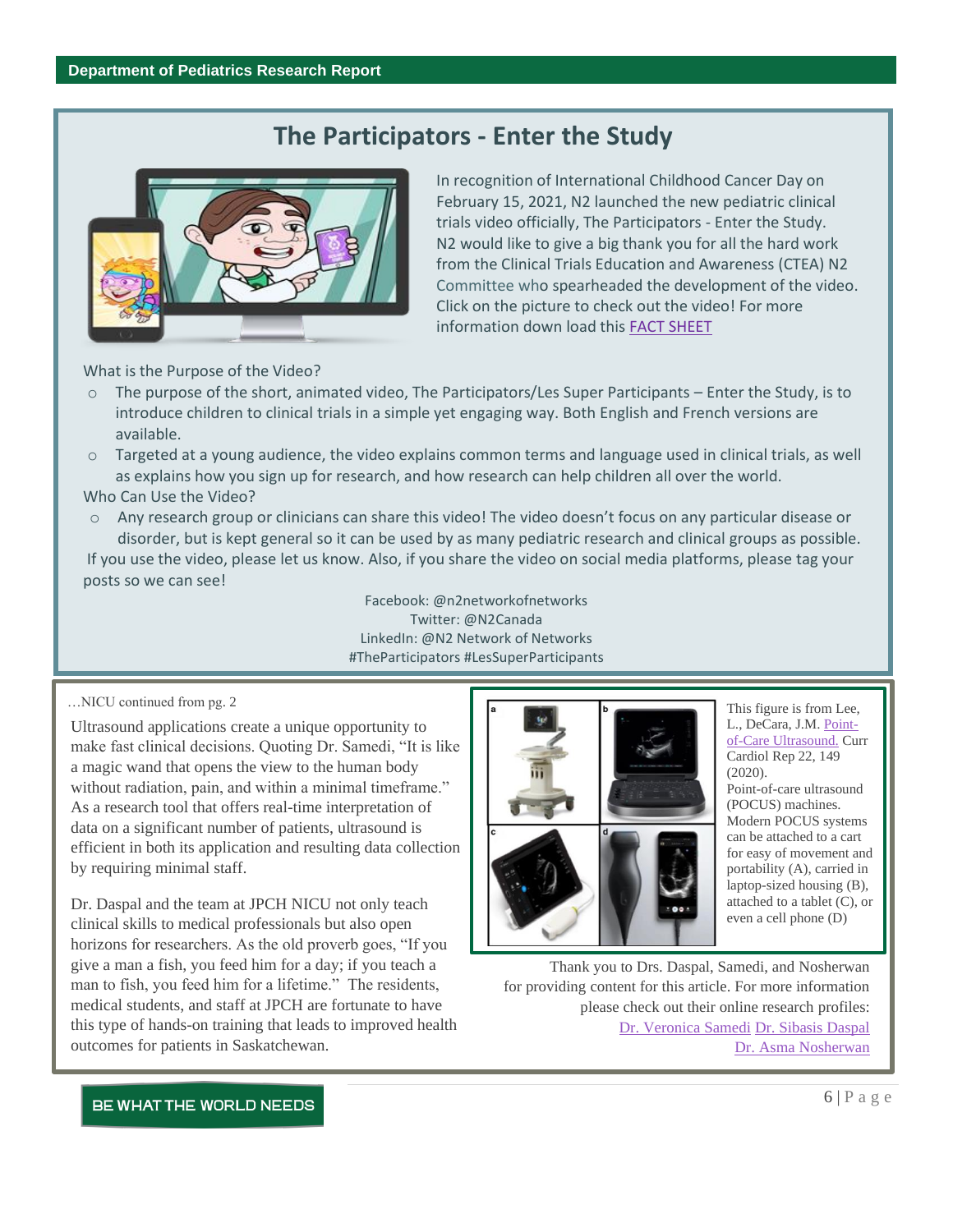# **The Participators - Enter the Study**



In recognition of International Childhood Cancer Day on February 15, 2021, N2 launched the new pediatric clinical trials video officially, The Participators - Enter the Study. N2 would like to give a big thank you for all the hard work from the Clinical Trials Education and Awareness (CTEA) N2 Committee who spearheaded the development of the video. Click on the picture to check out the video! For more information down load this [FACT SHEET](https://mcusercontent.com/3701881b24851f487859ab8c8/files/23ad00d5-b183-4a81-86de-ddfb610acdde/N2_Clinical_Trials_Education_and_Awareness.04.pdf)

What is the Purpose of the Video?

- The purpose of the short, animated video, The Participators/Les Super Participants Enter the Study, is to introduce children to clinical trials in a simple yet engaging way. Both English and French versions are available.
- $\circ$  Targeted at a young audience, the video explains common terms and language used in clinical trials, as well as explains how you sign up for research, and how research can help children all over the world. Who Can Use the Video?
- o Any research group or clinicians can share this video! The video doesn't focus on any particular disease or disorder, but is kept general so it can be used by as many pediatric research and clinical groups as possible. If you use the video, please let us know. Also, if you share the video on social media platforms, please tag your

posts so we can see!

Facebook: @n2networkofnetworks Twitter: @N2Canada LinkedIn: @N2 Network of Networks #TheParticipators #LesSuperParticipants

…NICU continued from pg. 2

Ultrasound applications create a unique opportunity to make fast clinical decisions. Quoting Dr. Samedi, "It is like a magic wand that opens the view to the human body without radiation, pain, and within a minimal timeframe." As a research tool that offers real-time interpretation of data on a significant number of patients, ultrasound is efficient in both its application and resulting data collection by requiring minimal staff.

Dr. Daspal and the team at JPCH NICU not only teach clinical skills to medical professionals but also open horizons for researchers. As the old proverb goes, "If you give a man a fish, you feed him for a day; if you teach a man to fish, you feed him for a lifetime." The residents, medical students, and staff at JPCH are fortunate to have this type of hands-on training that leads to improved health outcomes for patients in Saskatchewan.



This figure is from Lee, L., DeCara, J.M[. Point](https://link.springer.com/article/10.1007%2Fs11886-020-01394-y)[of-Care Ultrasound.](https://link.springer.com/article/10.1007%2Fs11886-020-01394-y) Curr Cardiol Rep 22, 149 (2020). Point-of-care ultrasound (POCUS) machines. Modern POCUS systems can be attached to a cart for easy of movement and portability (A), carried in laptop-sized housing (B), attached to a tablet  $(C)$ , or even a cell phone (D)

Thank you to Drs. Daspal, Samedi, and Nosherwan for providing content for this article. For more information please check out their online research profiles: [Dr. Veronica Samedi](https://www.researchgate.net/profile/Veronica-Samedi) [Dr. Sibasis Daspal](https://www.researchgate.net/profile/Sibasis-Daspal) Dr. [Asma Nosherwan](https://www.researchgate.net/profile/Asma-Nosherwan)

BE WHAT THE WORLD NEEDS